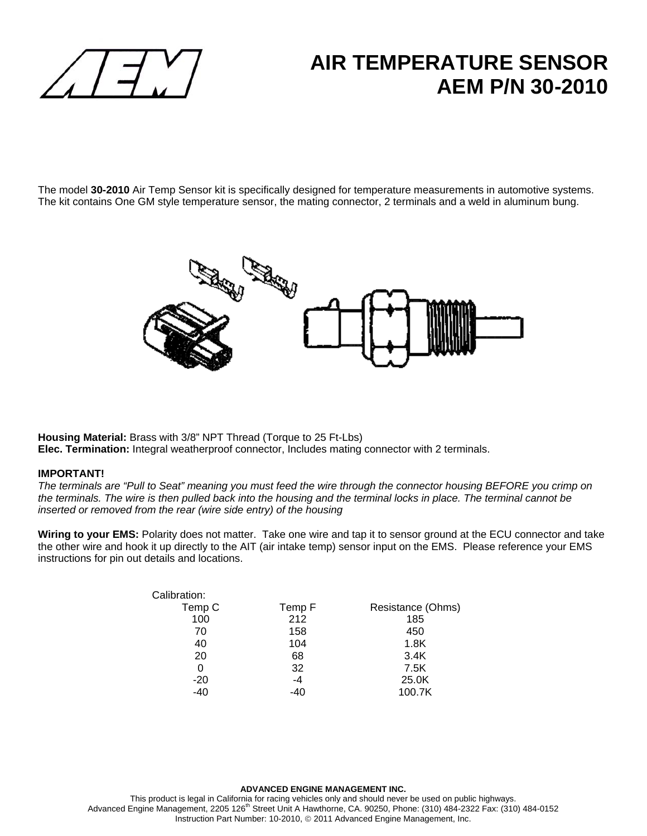

## **AIR TEMPERATURE SENSOR AEM P/N 30-2010**

The model **30-2010** Air Temp Sensor kit is specifically designed for temperature measurements in automotive systems. The kit contains One GM style temperature sensor, the mating connector, 2 terminals and a weld in aluminum bung.



**Housing Material:** Brass with 3/8" NPT Thread (Torque to 25 Ft-Lbs) **Elec. Termination:** Integral weatherproof connector, Includes mating connector with 2 terminals.

## **IMPORTANT!**

*The terminals are "Pull to Seat" meaning you must feed the wire through the connector housing BEFORE you crimp on the terminals. The wire is then pulled back into the housing and the terminal locks in place. The terminal cannot be inserted or removed from the rear (wire side entry) of the housing* 

Wiring to your EMS: Polarity does not matter. Take one wire and tap it to sensor ground at the ECU connector and take the other wire and hook it up directly to the AIT (air intake temp) sensor input on the EMS. Please reference your EMS instructions for pin out details and locations.

| Resistance (Ohms) |
|-------------------|
|                   |
|                   |
|                   |
|                   |
|                   |
|                   |
|                   |
|                   |

This product is legal in California for racing vehicles only and should never be used on public highways. Advanced Engine Management, 2205 126<sup>th</sup> Street Unit A Hawthorne, CA. 90250, Phone: (310) 484-2322 Fax: (310) 484-0152 Instruction Part Number: 10-2010, © 2011 Advanced Engine Management, Inc.